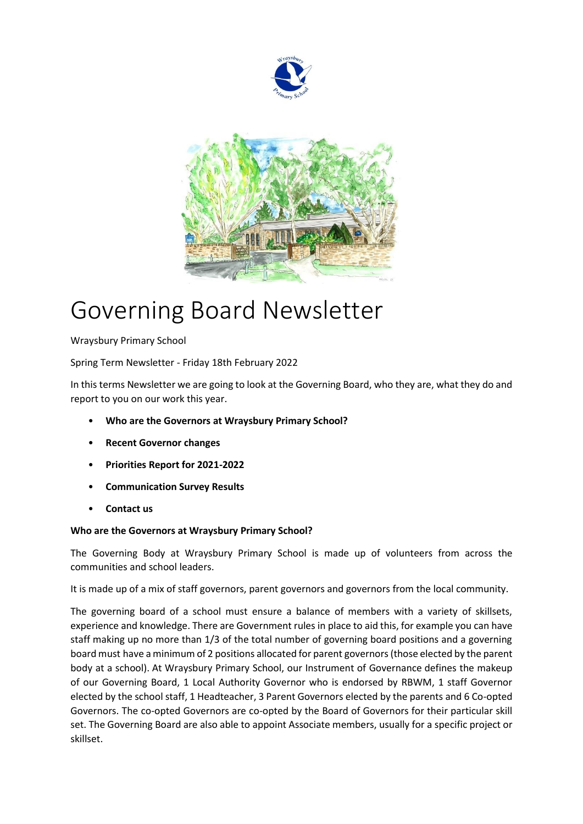



# Governing Board Newsletter

Wraysbury Primary School

Spring Term Newsletter - Friday 18th February 2022

In this terms Newsletter we are going to look at the Governing Board, who they are, what they do and report to you on our work this year.

- **Who are the Governors at Wraysbury Primary School?**
- **Recent Governor changes**
- **Priorities Report for 2021-2022**
- **Communication Survey Results**
- **Contact us**

# **Who are the Governors at Wraysbury Primary School?**

The Governing Body at Wraysbury Primary School is made up of volunteers from across the communities and school leaders.

It is made up of a mix of staff governors, parent governors and governors from the local community.

The governing board of a school must ensure a balance of members with a variety of skillsets, experience and knowledge. There are Government rules in place to aid this, for example you can have staff making up no more than 1/3 of the total number of governing board positions and a governing board must have a minimum of 2 positions allocated for parent governors (those elected by the parent body at a school). At Wraysbury Primary School, our Instrument of Governance defines the makeup of our Governing Board, 1 Local Authority Governor who is endorsed by RBWM, 1 staff Governor elected by the school staff, 1 Headteacher, 3 Parent Governors elected by the parents and 6 Co-opted Governors. The co-opted Governors are co-opted by the Board of Governors for their particular skill set. The Governing Board are also able to appoint Associate members, usually for a specific project or skillset.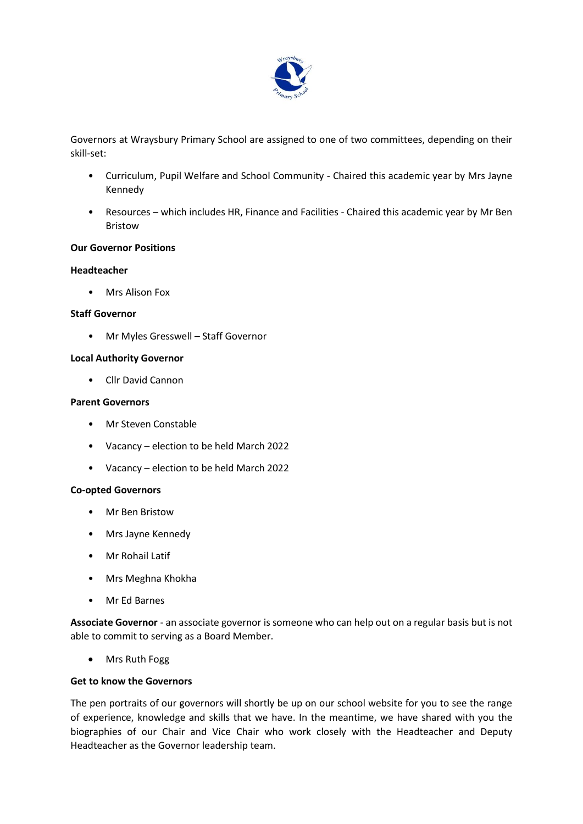

Governors at Wraysbury Primary School are assigned to one of two committees, depending on their skill-set:

- Curriculum, Pupil Welfare and School Community Chaired this academic year by Mrs Jayne Kennedy
- Resources which includes HR, Finance and Facilities Chaired this academic year by Mr Ben Bristow

### **Our Governor Positions**

#### **Headteacher**

• Mrs Alison Fox

#### **Staff Governor**

• Mr Myles Gresswell – Staff Governor

#### **Local Authority Governor**

• Cllr David Cannon

#### **Parent Governors**

- Mr Steven Constable
- Vacancy election to be held March 2022
- Vacancy election to be held March 2022

#### **Co-opted Governors**

- Mr Ben Bristow
- Mrs Jayne Kennedy
- Mr Rohail Latif
- Mrs Meghna Khokha
- Mr Ed Barnes

**Associate Governor** - an associate governor is someone who can help out on a regular basis but is not able to commit to serving as a Board Member.

• Mrs Ruth Fogg

### **Get to know the Governors**

The pen portraits of our governors will shortly be up on our school website for you to see the range of experience, knowledge and skills that we have. In the meantime, we have shared with you the biographies of our Chair and Vice Chair who work closely with the Headteacher and Deputy Headteacher as the Governor leadership team.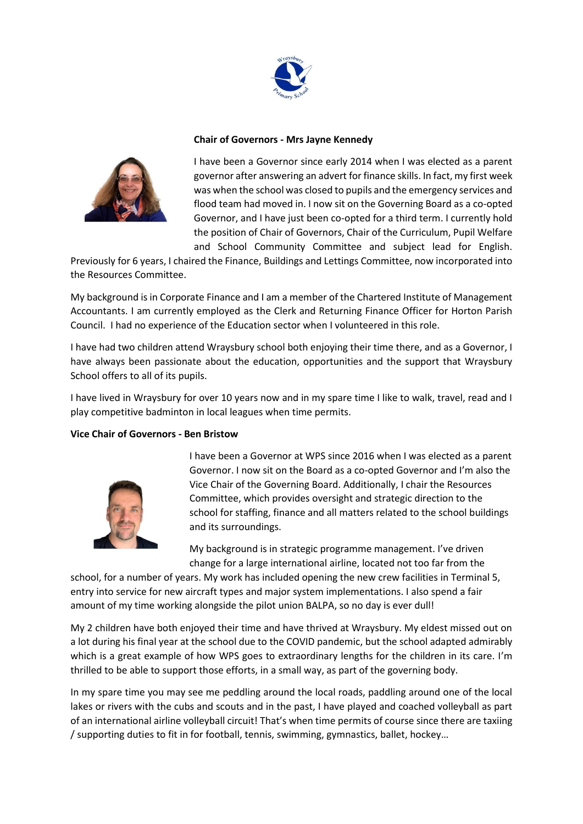

### **Chair of Governors - Mrs Jayne Kennedy**



I have been a Governor since early 2014 when I was elected as a parent governor after answering an advert for finance skills. In fact, my first week was when the school was closed to pupils and the emergency services and flood team had moved in. I now sit on the Governing Board as a co-opted Governor, and I have just been co-opted for a third term. I currently hold the position of Chair of Governors, Chair of the Curriculum, Pupil Welfare and School Community Committee and subject lead for English.

Previously for 6 years, I chaired the Finance, Buildings and Lettings Committee, now incorporated into the Resources Committee.

My background is in Corporate Finance and I am a member of the Chartered Institute of Management Accountants. I am currently employed as the Clerk and Returning Finance Officer for Horton Parish Council. I had no experience of the Education sector when I volunteered in this role.

I have had two children attend Wraysbury school both enjoying their time there, and as a Governor, I have always been passionate about the education, opportunities and the support that Wraysbury School offers to all of its pupils.

I have lived in Wraysbury for over 10 years now and in my spare time I like to walk, travel, read and I play competitive badminton in local leagues when time permits.

#### **Vice Chair of Governors - Ben Bristow**



I have been a Governor at WPS since 2016 when I was elected as a parent Governor. I now sit on the Board as a co-opted Governor and I'm also the Vice Chair of the Governing Board. Additionally, I chair the Resources Committee, which provides oversight and strategic direction to the school for staffing, finance and all matters related to the school buildings and its surroundings.

My background is in strategic programme management. I've driven change for a large international airline, located not too far from the

school, for a number of years. My work has included opening the new crew facilities in Terminal 5, entry into service for new aircraft types and major system implementations. I also spend a fair amount of my time working alongside the pilot union BALPA, so no day is ever dull!

My 2 children have both enjoyed their time and have thrived at Wraysbury. My eldest missed out on a lot during his final year at the school due to the COVID pandemic, but the school adapted admirably which is a great example of how WPS goes to extraordinary lengths for the children in its care. I'm thrilled to be able to support those efforts, in a small way, as part of the governing body.

In my spare time you may see me peddling around the local roads, paddling around one of the local lakes or rivers with the cubs and scouts and in the past, I have played and coached volleyball as part of an international airline volleyball circuit! That's when time permits of course since there are taxiing / supporting duties to fit in for football, tennis, swimming, gymnastics, ballet, hockey…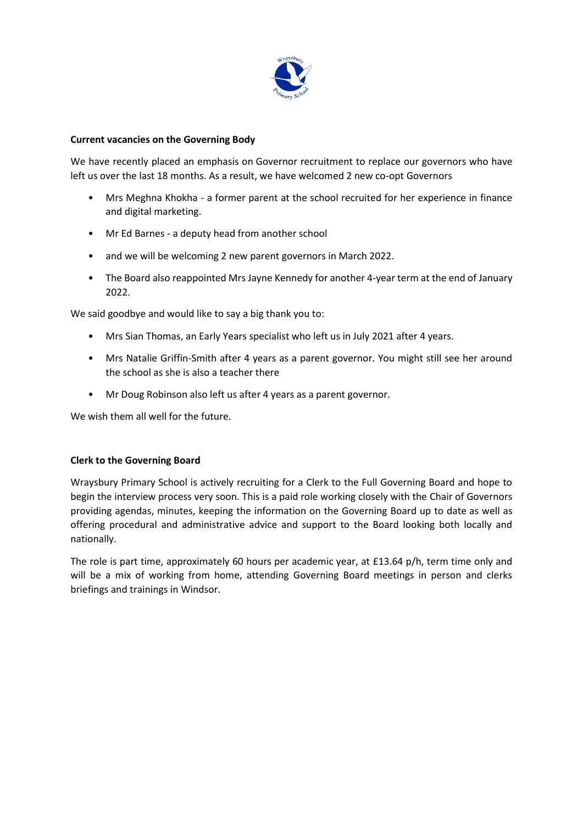

# **Current vacancies on the Governing Body**

We have recently placed an emphasis on Governor recruitment to replace our governors who have left us over the last 18 months. As a result, we have welcomed 2 new co-opt Governors

- Mrs Meghna Khokha a former parent at the school recruited for her experience in finance and digital marketing.
- Mr Ed Barnes a deputy head from another school
- and we will be welcoming 2 new parent governors in March 2022.
- The Board also reappointed Mrs Jayne Kennedy for another 4-year term at the end of January 2022.

We said goodbye and would like to say a big thank you to:

- Mrs Sian Thomas, an Early Years specialist who left us in July 2021 after 4 years.
- Mrs Natalie Griffin-Smith after 4 years as a parent governor. You might still see her around the school as she is also a teacher there
- Mr Doug Robinson also left us after 4 years as a parent governor.

We wish them all well for the future.

### **Clerk to the Governing Board**

Wraysbury Primary School is actively recruiting for a Clerk to the Full Governing Board and hope to begin the interview process very soon. This is a paid role working closely with the Chair of Governors providing agendas, minutes, keeping the information on the Governing Board up to date as well as offering procedural and administrative advice and support to the Board looking both locally and nationally.

The role is part time, approximately 60 hours per academic year, at £13.64 p/h, term time only and will be a mix of working from home, attending Governing Board meetings in person and clerks briefings and trainings in Windsor.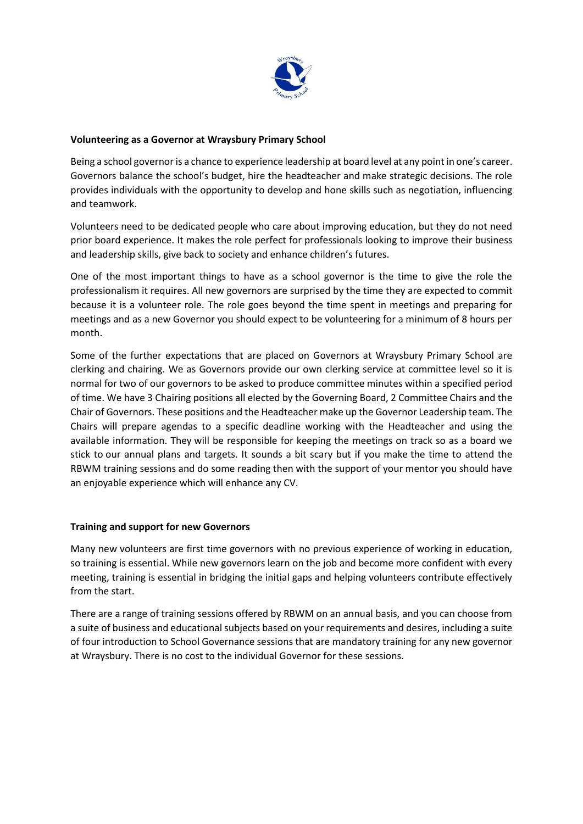

# **Volunteering as a Governor at Wraysbury Primary School**

Being a school governor is a chance to experience leadership at board level at any point in one's career. Governors balance the school's budget, hire the headteacher and make strategic decisions. The role provides individuals with the opportunity to develop and hone skills such as negotiation, influencing and teamwork.

Volunteers need to be dedicated people who care about improving education, but they do not need prior board experience. It makes the role perfect for professionals looking to improve their business and leadership skills, give back to society and enhance children's futures.

One of the most important things to have as a school governor is the time to give the role the professionalism it requires. All new governors are surprised by the time they are expected to commit because it is a volunteer role. The role goes beyond the time spent in meetings and preparing for meetings and as a new Governor you should expect to be volunteering for a minimum of 8 hours per month.

Some of the further expectations that are placed on Governors at Wraysbury Primary School are clerking and chairing. We as Governors provide our own clerking service at committee level so it is normal for two of our governors to be asked to produce committee minutes within a specified period of time. We have 3 Chairing positions all elected by the Governing Board, 2 Committee Chairs and the Chair of Governors. These positions and the Headteacher make up the Governor Leadership team. The Chairs will prepare agendas to a specific deadline working with the Headteacher and using the available information. They will be responsible for keeping the meetings on track so as a board we stick to our annual plans and targets. It sounds a bit scary but if you make the time to attend the RBWM training sessions and do some reading then with the support of your mentor you should have an enjoyable experience which will enhance any CV.

### **Training and support for new Governors**

Many new volunteers are first time governors with no previous experience of working in education, so training is essential. While new governors learn on the job and become more confident with every meeting, training is essential in bridging the initial gaps and helping volunteers contribute effectively from the start.

There are a range of training sessions offered by RBWM on an annual basis, and you can choose from a suite of business and educational subjects based on your requirements and desires, including a suite of four introduction to School Governance sessions that are mandatory training for any new governor at Wraysbury. There is no cost to the individual Governor for these sessions.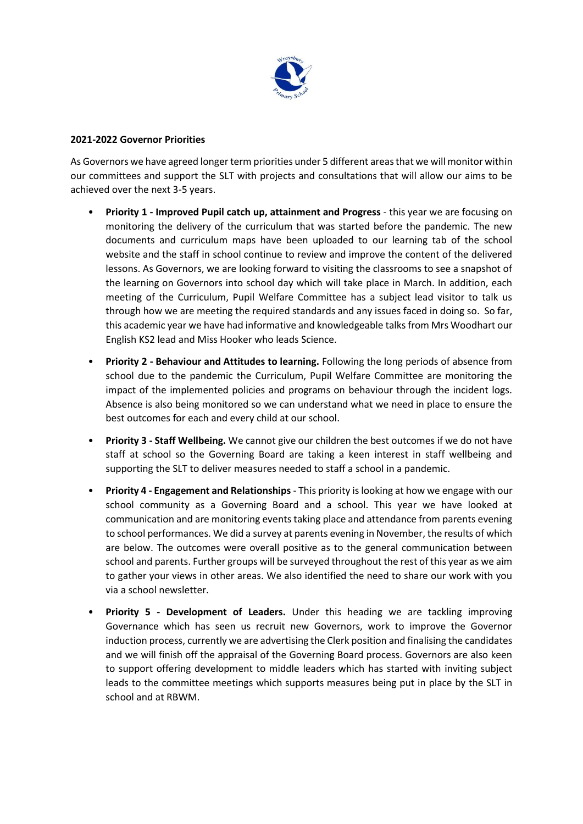

# **2021-2022 Governor Priorities**

As Governors we have agreed longer term priorities under 5 different areas that we will monitor within our committees and support the SLT with projects and consultations that will allow our aims to be achieved over the next 3-5 years.

- **Priority 1 - Improved Pupil catch up, attainment and Progress** this year we are focusing on monitoring the delivery of the curriculum that was started before the pandemic. The new documents and curriculum maps have been uploaded to our learning tab of the school website and the staff in school continue to review and improve the content of the delivered lessons. As Governors, we are looking forward to visiting the classrooms to see a snapshot of the learning on Governors into school day which will take place in March. In addition, each meeting of the Curriculum, Pupil Welfare Committee has a subject lead visitor to talk us through how we are meeting the required standards and any issues faced in doing so. So far, this academic year we have had informative and knowledgeable talks from Mrs Woodhart our English KS2 lead and Miss Hooker who leads Science.
- **Priority 2 - Behaviour and Attitudes to learning.** Following the long periods of absence from school due to the pandemic the Curriculum, Pupil Welfare Committee are monitoring the impact of the implemented policies and programs on behaviour through the incident logs. Absence is also being monitored so we can understand what we need in place to ensure the best outcomes for each and every child at our school.
- **Priority 3 - Staff Wellbeing.** We cannot give our children the best outcomes if we do not have staff at school so the Governing Board are taking a keen interest in staff wellbeing and supporting the SLT to deliver measures needed to staff a school in a pandemic.
- **Priority 4 - Engagement and Relationships**  This priority is looking at how we engage with our school community as a Governing Board and a school. This year we have looked at communication and are monitoring events taking place and attendance from parents evening to school performances. We did a survey at parents evening in November, the results of which are below. The outcomes were overall positive as to the general communication between school and parents. Further groups will be surveyed throughout the rest of this year as we aim to gather your views in other areas. We also identified the need to share our work with you via a school newsletter.
- **Priority 5 - Development of Leaders.** Under this heading we are tackling improving Governance which has seen us recruit new Governors, work to improve the Governor induction process, currently we are advertising the Clerk position and finalising the candidates and we will finish off the appraisal of the Governing Board process. Governors are also keen to support offering development to middle leaders which has started with inviting subject leads to the committee meetings which supports measures being put in place by the SLT in school and at RBWM.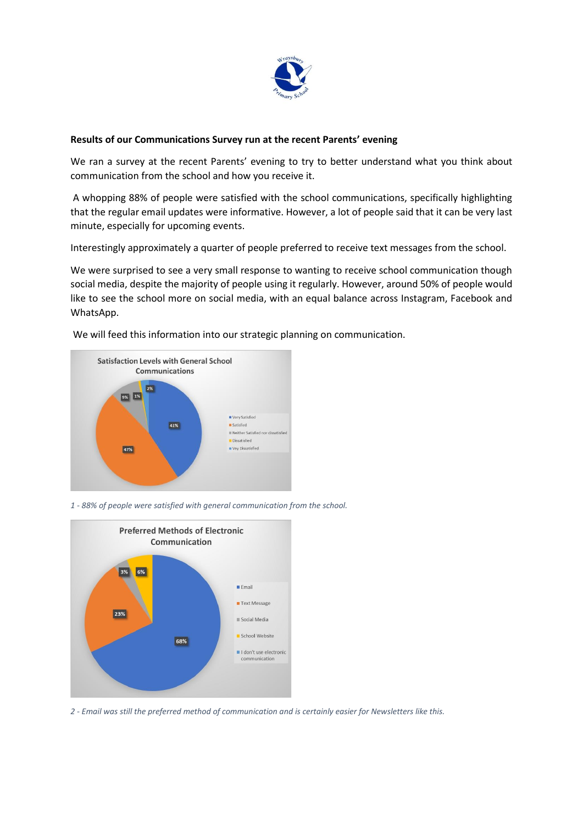

# **Results of our Communications Survey run at the recent Parents' evening**

We ran a survey at the recent Parents' evening to try to better understand what you think about communication from the school and how you receive it.

A whopping 88% of people were satisfied with the school communications, specifically highlighting that the regular email updates were informative. However, a lot of people said that it can be very last minute, especially for upcoming events.

Interestingly approximately a quarter of people preferred to receive text messages from the school.

We were surprised to see a very small response to wanting to receive school communication though social media, despite the majority of people using it regularly. However, around 50% of people would like to see the school more on social media, with an equal balance across Instagram, Facebook and WhatsApp.



We will feed this information into our strategic planning on communication.

*1 - 88% of people were satisfied with general communication from the school.*



*2 - Email was still the preferred method of communication and is certainly easier for Newsletters like this.*